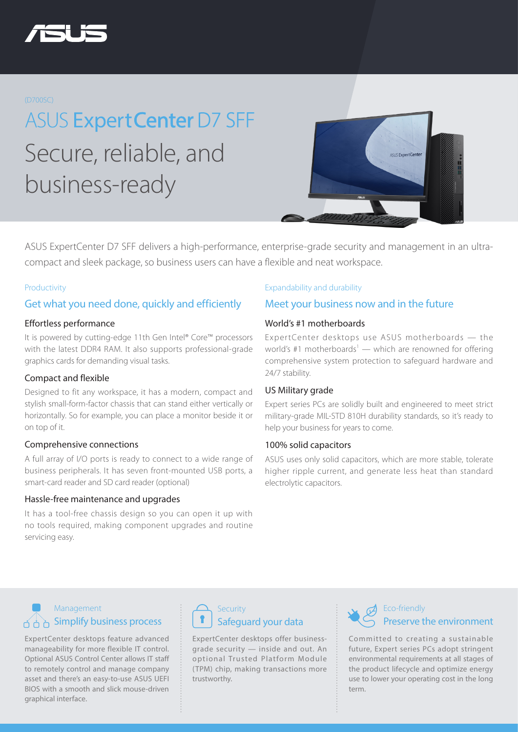

#### (D700SC)

**ASUS Expert Center D7 SFF** Secure, reliable, and business-ready



ASUS ExpertCenter D7 SFF delivers a high-performance, enterprise-grade security and management in an ultracompact and sleek package, so business users can have a flexible and neat workspace.

#### Productivity

### Get what you need done, quickly and efficiently

#### Effortless performance

It is powered by cutting-edge 11th Gen Intel® Core™ processors with the latest DDR4 RAM. It also supports professional-grade graphics cards for demanding visual tasks.

#### Compact and flexible

Designed to fit any workspace, it has a modern, compact and stylish small-form-factor chassis that can stand either vertically or horizontally. So for example, you can place a monitor beside it or on top of it.

#### Comprehensive connections

A full array of I/O ports is ready to connect to a wide range of business peripherals. It has seven front-mounted USB ports, a smart-card reader and SD card reader (optional)

#### Hassle-free maintenance and upgrades

It has a tool-free chassis design so you can open it up with no tools required, making component upgrades and routine servicing easy.

#### Expandability and durability

### Meet your business now and in the future

#### World's #1 motherboards

Expert Center desktops use ASUS motherboards - the world's #1 motherboards<sup>1</sup> — which are renowned for offering comprehensive system protection to safeguard hardware and 24/7 stability.

#### US Military grade

Expert series PCs are solidly built and engineered to meet strict military-grade MIL-STD 810H durability standards, so it's ready to help your business for years to come.

#### 100% solid capacitors

ASUS uses only solid capacitors, which are more stable, tolerate higher ripple current, and generate less heat than standard electrolytic capacitors.

## Management  $A \cap B$  Simplify business process

ExpertCenter desktops feature advanced manageability for more flexible IT control. Optional ASUS Control Center allows IT staff to remotely control and manage company asset and there's an easy-to-use ASUS UEFI BIOS with a smooth and slick mouse-driven graphical interface.



ExpertCenter desktops offer businessgrade security — inside and out. An optional Trusted Platform Module (TPM) chip, making transactions more trustworthy.



### Eco-friendly Preserve the environment

Committed to creating a sustainable future, Expert series PCs adopt stringent environmental requirements at all stages of the product lifecycle and optimize energy use to lower your operating cost in the long term.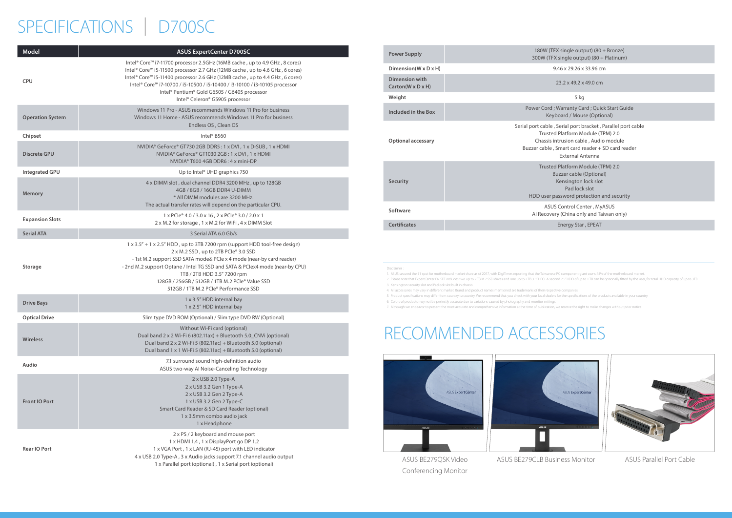# SPECIFICATIONS | D700SC

| <b>Model</b>            | <b>ASUS ExpertCenter D700SC</b>                                                                                                                                                                                                                                                                                                                                                                               |
|-------------------------|---------------------------------------------------------------------------------------------------------------------------------------------------------------------------------------------------------------------------------------------------------------------------------------------------------------------------------------------------------------------------------------------------------------|
| <b>CPU</b>              | Intel® Core™ i7-11700 processor 2.5GHz (16MB cache, up to 4.9 GHz, 8 cores)<br>Intel® Core™ i5-11500 processor 2.7 GHz (12MB cache, up to 4.6 GHz, 6 cores)<br>Intel® Core™ i5-11400 processor 2.6 GHz (12MB cache, up to 4.4 GHz, 6 cores)<br>Intel® Core™ i7-10700 / i5-10500 / i5-10400 / i3-10100 / i3-10105 processor<br>Intel® Pentium® Gold G6505 / G6405 processor<br>Intel® Celeron® G5905 processor |
| <b>Operation System</b> | Windows 11 Pro - ASUS recommends Windows 11 Pro for business<br>Windows 11 Home - ASUS recommends Windows 11 Pro for business<br>Endless OS, Clean OS                                                                                                                                                                                                                                                         |
| Chipset                 | Intel <sup>®</sup> B560                                                                                                                                                                                                                                                                                                                                                                                       |
| <b>Discrete GPU</b>     | NVIDIA® GeForce® GT730 2GB DDR5: 1 x DVI, 1 x D-SUB, 1 x HDMI<br>NVIDIA® GeForce® GT1030 2GB: 1 x DVI, 1 x HDMI<br>NVIDIA® T600 4GB DDR6 : 4 x mini-DP                                                                                                                                                                                                                                                        |
| <b>Integrated GPU</b>   | Up to Intel <sup>®</sup> UHD graphics 750                                                                                                                                                                                                                                                                                                                                                                     |
| <b>Memory</b>           | 4 x DIMM slot, dual channel DDR4 3200 MHz, up to 128GB<br>4GB / 8GB / 16GB DDR4 U-DIMM<br>* All DIMM modules are 3200 MHz.<br>The actual transfer rates will depend on the particular CPU.                                                                                                                                                                                                                    |
| <b>Expansion Slots</b>  | 1 x PCle® 4.0 / 3.0 x 16, 2 x PCle® 3.0 / 2.0 x 1<br>2 x M.2 for storage, 1 x M.2 for WiFi, 4 x DIMM Slot                                                                                                                                                                                                                                                                                                     |
| <b>Serial ATA</b>       | 3 Serial ATA 6.0 Gb/s                                                                                                                                                                                                                                                                                                                                                                                         |
| <b>Storage</b>          | 1 x 3.5" + 1 x 2.5" HDD, up to 3TB 7200 rpm (support HDD tool-free design)<br>2 x M.2 SSD, up to 2TB PCle® 3.0 SSD<br>- 1st M.2 support SSD SATA mode& PCIe x 4 mode (near-by card reader)<br>- 2nd M.2 support Optane / Intel TG SSD and SATA & PCIex4 mode (near-by CPU)<br>1TB / 2TB HDD 3.5" 7200 rpm<br>128GB / 256GB / 512GB / 1TB M.2 PCIe® Value SSD<br>512GB / 1TB M.2 PCIe® Performance SSD         |
| <b>Drive Bays</b>       | 1 x 3.5" HDD internal bay<br>1 x 2.5" HDD internal bay                                                                                                                                                                                                                                                                                                                                                        |
| <b>Optical Drive</b>    | Slim type DVD ROM (Optional) / Slim type DVD RW (Optional)                                                                                                                                                                                                                                                                                                                                                    |
| <b>Wireless</b>         | Without Wi-Fi card (optional)<br>Dual band 2 x 2 Wi-Fi 6 (802.11ax) + Bluetooth 5.0_CNVi (optional)<br>Dual band 2 x 2 Wi-Fi 5 (802.11ac) + Bluetooth 5.0 (optional)<br>Dual band 1 x 1 Wi-Fi 5 (802.11ac) + Bluetooth 5.0 (optional)                                                                                                                                                                         |
| Audio                   | 7.1 surround sound high-definition audio<br>ASUS two-way AI Noise-Canceling Technology                                                                                                                                                                                                                                                                                                                        |
| <b>Front IO Port</b>    | 2 x USB 2.0 Type-A<br>2 x USB 3.2 Gen 1 Type-A<br>2 x USB 3.2 Gen 2 Type-A<br>1 x USB 3.2 Gen 2 Type-C<br>Smart Card Reader & SD Card Reader (optional)<br>1 x 3.5mm combo audio jack<br>1 x Headphone                                                                                                                                                                                                        |
| Rear IO Port            | 2 x PS / 2 keyboard and mouse port<br>1 x HDMI 1.4, 1 x DisplayPort go DP 1.2<br>1 x VGA Port, 1 x LAN (RJ-45) port with LED indicator<br>4 x USB 2.0 Type-A, 3 x Audio jacks support 7.1 channel audio output<br>1 x Parallel port (optional), 1 x Serial port (optional)                                                                                                                                    |

Serial port bracket , Parallel port cable d Platform Module (TPM) 2.0 ntrusion cable, Audio module , Smart card reader + SD card reader External Antenna

d Platform Module (TPM) 2.0 **Buzzer cable (Optional)** Kensington lock slot Pad lock slot assword protection and security

**S Control Center , MyASUS** ry (China only and Taiwan only)

**Dimension(W x D x H)** 9.46 x 29.26 x 33.96 cm

23.2 x 49.2 x 49.0 cm

**Warranty Card** ; Quick Start Guide board / Mouse (Optional)

|  | <b>Power Supply</b>                                    | 180W (TFX single out)<br>300W (TFX single outp                                                                                 |
|--|--------------------------------------------------------|--------------------------------------------------------------------------------------------------------------------------------|
|  | Dimension(W x D x H)                                   | 9.46 x 29.26 x                                                                                                                 |
|  | <b>Dimension with</b><br>$Carton(W \times D \times H)$ | $23.2 \times 49.2 \times$                                                                                                      |
|  | Weight                                                 | 5 kg                                                                                                                           |
|  | Included in the Box                                    | Power Cord; Warranty Ca<br>Keyboard / Mous                                                                                     |
|  | <b>Optional accessary</b>                              | Serial port cable, Serial port b<br>Trusted Platform M<br>Chassis intrusion cabl<br>Buzzer cable, Smart card re<br>External Ar |
|  | <b>Security</b>                                        | Trusted Platform M<br>Buzzer cable<br>Kensington<br>Pad lock<br>HDD user password pro                                          |
|  | Software                                               | <b>ASUS Control Cer</b><br>Al Recovery (China onl                                                                              |
|  | Cartificatos                                           | <b>Energy Star</b>                                                                                                             |

**Certificates** Energy Star , EPEAT

# RECOMMENDED ACCESSORIES



Disclaimer :

1. ASUS secured the #1 spot for motherboard market share as of 2017, with DigiTimes reporting that the Taiwanese PC component giant owns 45% of the motherboard market.

2. Please note that ExpertCenter D7 SFF includes two up to 2 TB M.2 SSD drives and one up to 2 TB 3.5" HDD. A second 2.5" HDD of up to 1 TB can be optionally fitted by the user, for total HDD capacity of up to 3TB.



3. Kensington security slot and Padlock slot built in chassis

4. All accessories may vary in different market. Brand and product names mentioned are trademarks of their respective companies.

5. Product specifications may differ from country to country. We recommend that you check with your local dealers for the specifications of the products available

6. Colors of products may not be perfectly accurate due to variations caused by photography and monitor settings.

7. Although we endeavor to present the most accurate and comprehensive information at the time of publication, we reserve the right to make changes without prior notice.

ASUS BE279QSK Video Conferencing Monitor ASUS BE279CLB Business Monitor ASUS Parallel Port Cable

**Power Steppier Supply** (80 + Bronze)  $\sqrt{(30 + 16)}$  single output) (80 + Platinum)